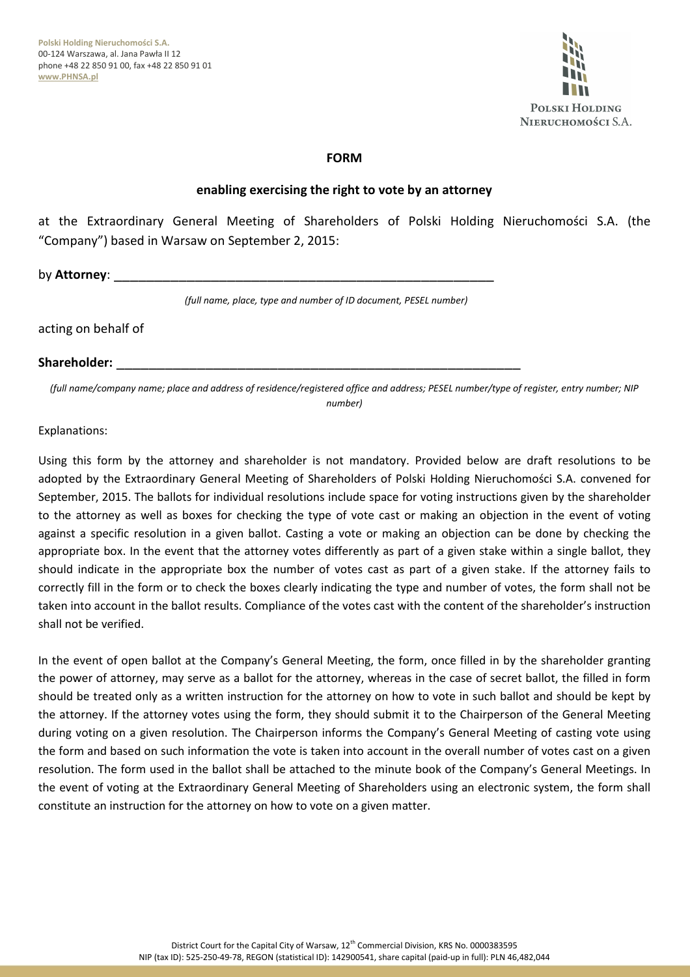

### **FORM**

### **enabling exercising the right to vote by an attorney**

at the Extraordinary General Meeting of Shareholders of Polski Holding Nieruchomości S.A. (the "Company") based in Warsaw on September 2, 2015:

by **Attorney**:

*(full name, place, type and number of ID document, PESEL number)*

#### acting on behalf of

#### **Shareholder:** \_\_\_\_\_\_\_\_\_\_\_\_\_\_\_\_\_\_\_\_\_\_\_\_\_\_\_\_\_\_\_\_\_\_\_\_\_\_\_\_\_\_\_\_\_\_\_\_\_\_

*(full name/company name; place and address of residence/registered office and address; PESEL number/type of register, entry number; NIP number)* 

#### Explanations:

Using this form by the attorney and shareholder is not mandatory. Provided below are draft resolutions to be adopted by the Extraordinary General Meeting of Shareholders of Polski Holding Nieruchomości S.A. convened for September, 2015. The ballots for individual resolutions include space for voting instructions given by the shareholder to the attorney as well as boxes for checking the type of vote cast or making an objection in the event of voting against a specific resolution in a given ballot. Casting a vote or making an objection can be done by checking the appropriate box. In the event that the attorney votes differently as part of a given stake within a single ballot, they should indicate in the appropriate box the number of votes cast as part of a given stake. If the attorney fails to correctly fill in the form or to check the boxes clearly indicating the type and number of votes, the form shall not be taken into account in the ballot results. Compliance of the votes cast with the content of the shareholder's instruction shall not be verified.

In the event of open ballot at the Company's General Meeting, the form, once filled in by the shareholder granting the power of attorney, may serve as a ballot for the attorney, whereas in the case of secret ballot, the filled in form should be treated only as a written instruction for the attorney on how to vote in such ballot and should be kept by the attorney. If the attorney votes using the form, they should submit it to the Chairperson of the General Meeting during voting on a given resolution. The Chairperson informs the Company's General Meeting of casting vote using the form and based on such information the vote is taken into account in the overall number of votes cast on a given resolution. The form used in the ballot shall be attached to the minute book of the Company's General Meetings. In the event of voting at the Extraordinary General Meeting of Shareholders using an electronic system, the form shall constitute an instruction for the attorney on how to vote on a given matter.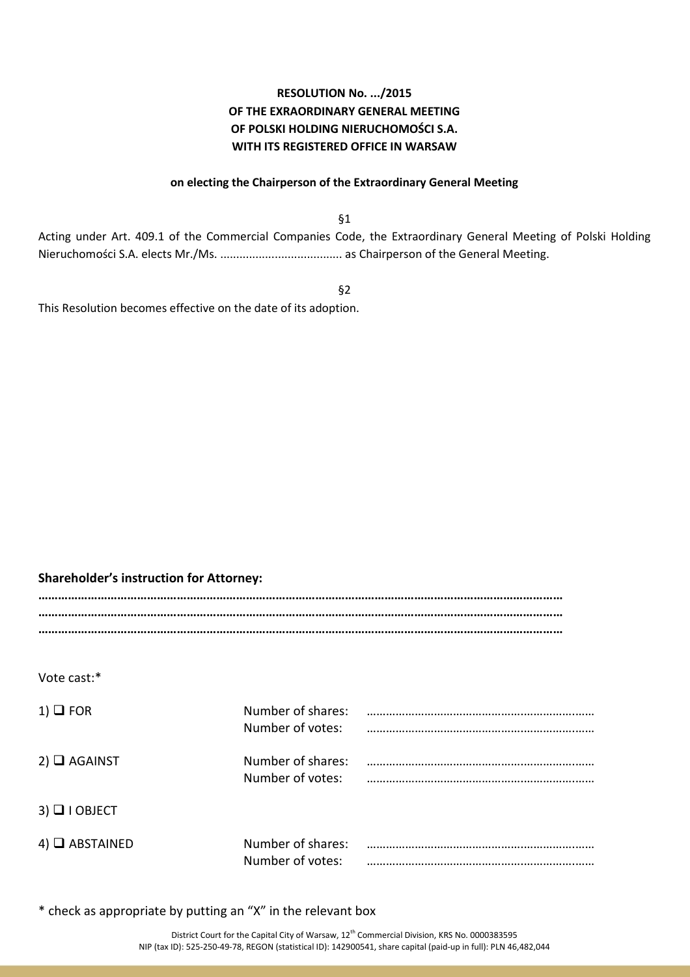# **RESOLUTION No. .../2015 OF THE EXRAORDINARY GENERAL MEETING OF POLSKI HOLDING NIERUCHOMOŚCI S.A. WITH ITS REGISTERED OFFICE IN WARSAW**

#### **on electing the Chairperson of the Extraordinary General Meeting**

§1

Acting under Art. 409.1 of the Commercial Companies Code, the Extraordinary General Meeting of Polski Holding Nieruchomości S.A. elects Mr./Ms. ...................................... as Chairperson of the General Meeting.

§2

This Resolution becomes effective on the date of its adoption.

# **Shareholder's instruction for Attorney:**

**…………………………………………………………………………………………………………………………………………… …………………………………………………………………………………………………………………………………………… ……………………………………………………………………………………………………………………………………………** 

Vote cast:\*

| $1)$ $\Box$ FOR       | Number of shares:<br>Number of votes: |  |
|-----------------------|---------------------------------------|--|
| $2)$ $\Box$ AGAINST   | Number of shares:<br>Number of votes: |  |
| $3)$ $\Box$   OBJECT  |                                       |  |
| $4)$ $\Box$ ABSTAINED | Number of shares:<br>Number of votes: |  |

\* check as appropriate by putting an "X" in the relevant box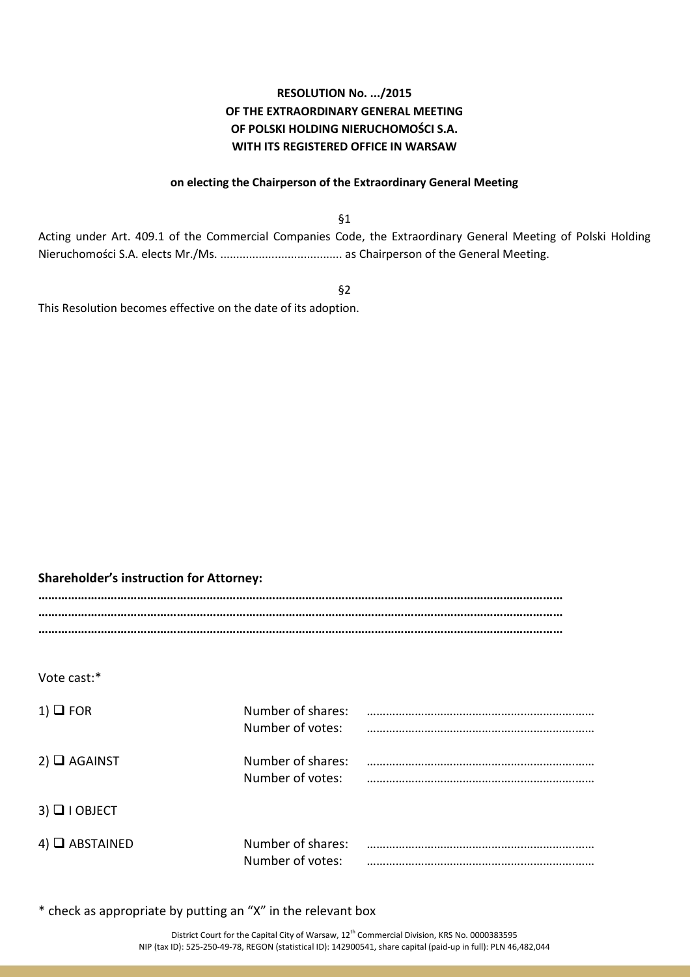# **RESOLUTION No. .../2015 OF THE EXTRAORDINARY GENERAL MEETING OF POLSKI HOLDING NIERUCHOMOŚCI S.A. WITH ITS REGISTERED OFFICE IN WARSAW**

#### **on electing the Chairperson of the Extraordinary General Meeting**

§1

Acting under Art. 409.1 of the Commercial Companies Code, the Extraordinary General Meeting of Polski Holding Nieruchomości S.A. elects Mr./Ms. ...................................... as Chairperson of the General Meeting.

§2

This Resolution becomes effective on the date of its adoption.

# **Shareholder's instruction for Attorney:**

**…………………………………………………………………………………………………………………………………………… …………………………………………………………………………………………………………………………………………… ……………………………………………………………………………………………………………………………………………** 

Vote cast:\*

| $1)$ $\Box$ FOR       | Number of shares:<br>Number of votes: |  |
|-----------------------|---------------------------------------|--|
| $2)$ $\Box$ AGAINST   | Number of shares:<br>Number of votes: |  |
| $3)$ $\Box$   OBJECT  |                                       |  |
| $4)$ $\Box$ ABSTAINED | Number of shares:<br>Number of votes: |  |

\* check as appropriate by putting an "X" in the relevant box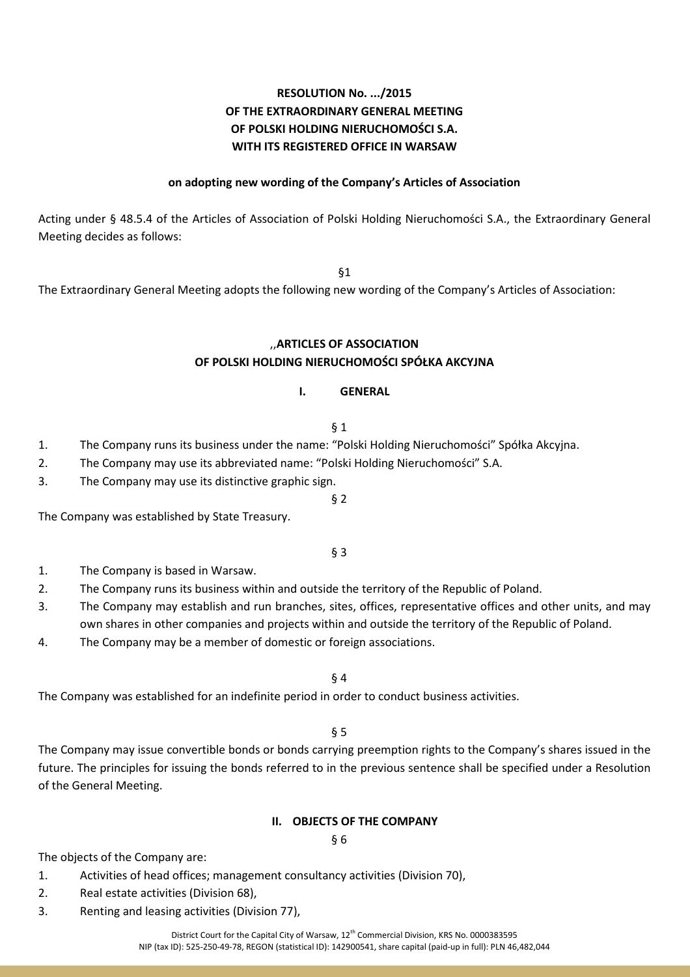# **RESOLUTION No. .../2015 OF THE EXTRAORDINARY GENERAL MEETING OF POLSKI HOLDING NIERUCHOMOŚCI S.A. WITH ITS REGISTERED OFFICE IN WARSAW**

### **on adopting new wording of the Company's Articles of Association**

Acting under § 48.5.4 of the Articles of Association of Polski Holding Nieruchomości S.A., the Extraordinary General Meeting decides as follows:

§1

The Extraordinary General Meeting adopts the following new wording of the Company's Articles of Association:

#### ,,**ARTICLES OF ASSOCIATION OF POLSKI HOLDING NIERUCHOMOŚCI SPÓŁKA AKCYJNA**

### **I. GENERAL**

§ 1

- 1. The Company runs its business under the name: "Polski Holding Nieruchomości" Spółka Akcyjna.
- 2. The Company may use its abbreviated name: "Polski Holding Nieruchomości" S.A.
- 3. The Company may use its distinctive graphic sign.
- 

The Company was established by State Treasury.

#### § 3

§ 2

- 1. The Company is based in Warsaw.
- 2. The Company runs its business within and outside the territory of the Republic of Poland.
- 3. The Company may establish and run branches, sites, offices, representative offices and other units, and may own shares in other companies and projects within and outside the territory of the Republic of Poland.
- 4. The Company may be a member of domestic or foreign associations.

§ 4

The Company was established for an indefinite period in order to conduct business activities.

§ 5

The Company may issue convertible bonds or bonds carrying preemption rights to the Company's shares issued in the future. The principles for issuing the bonds referred to in the previous sentence shall be specified under a Resolution of the General Meeting.

#### **II. OBJECTS OF THE COMPANY**

#### § 6

The objects of the Company are:

- 1. Activities of head offices; management consultancy activities (Division 70),
- 2. Real estate activities (Division 68),
- 3. Renting and leasing activities (Division 77),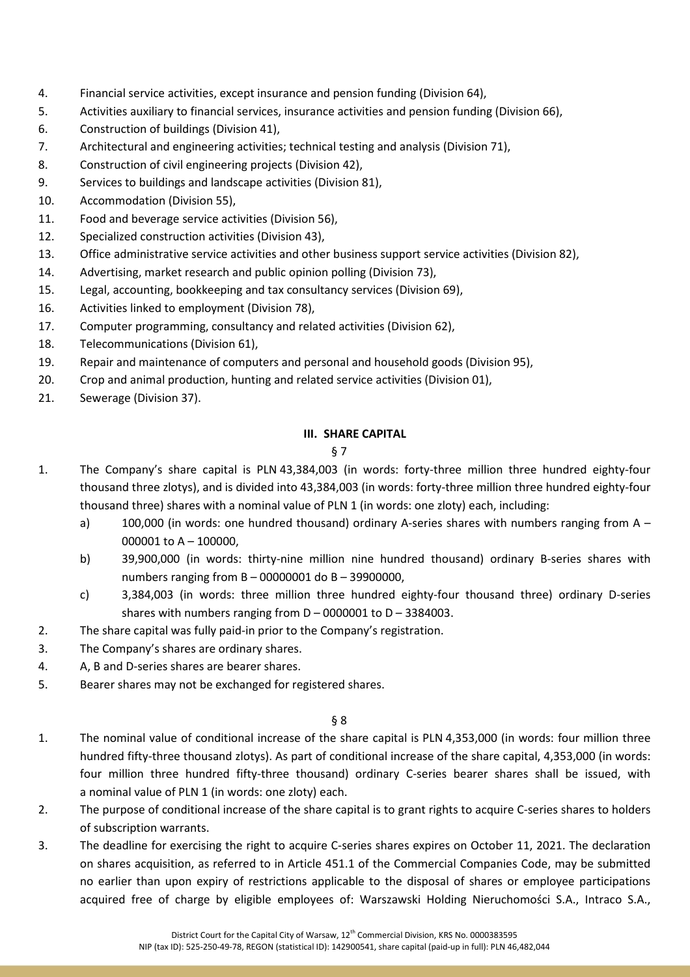- 4. Financial service activities, except insurance and pension funding (Division 64),
- 5. Activities auxiliary to financial services, insurance activities and pension funding (Division 66),
- 6. Construction of buildings (Division 41),
- 7. Architectural and engineering activities; technical testing and analysis (Division 71),
- 8. Construction of civil engineering projects (Division 42),
- 9. Services to buildings and landscape activities (Division 81),
- 10. Accommodation (Division 55),
- 11. Food and beverage service activities (Division 56),
- 12. Specialized construction activities (Division 43),
- 13. Office administrative service activities and other business support service activities (Division 82),
- 14. Advertising, market research and public opinion polling (Division 73),
- 15. Legal, accounting, bookkeeping and tax consultancy services (Division 69),
- 16. Activities linked to employment (Division 78),
- 17. Computer programming, consultancy and related activities (Division 62),
- 18. Telecommunications (Division 61),
- 19. Repair and maintenance of computers and personal and household goods (Division 95),
- 20. Crop and animal production, hunting and related service activities (Division 01),
- 21. Sewerage (Division 37).

# **III. SHARE CAPITAL**

# § 7

- 1. The Company's share capital is PLN 43,384,003 (in words: forty-three million three hundred eighty-four thousand three zlotys), and is divided into 43,384,003 (in words: forty-three million three hundred eighty-four thousand three) shares with a nominal value of PLN 1 (in words: one zloty) each, including:
	- a) 100,000 (in words: one hundred thousand) ordinary A-series shares with numbers ranging from A 000001 to A – 100000,
	- b) 39,900,000 (in words: thirty-nine million nine hundred thousand) ordinary B-series shares with numbers ranging from B – 00000001 do B – 39900000,
	- c) 3,384,003 (in words: three million three hundred eighty-four thousand three) ordinary D-series shares with numbers ranging from  $D - 0000001$  to  $D - 3384003$ .
- 2. The share capital was fully paid-in prior to the Company's registration.
- 3. The Company's shares are ordinary shares.
- 4. A, B and D-series shares are bearer shares.
- 5. Bearer shares may not be exchanged for registered shares.

- 1. The nominal value of conditional increase of the share capital is PLN 4,353,000 (in words: four million three hundred fifty-three thousand zlotys). As part of conditional increase of the share capital, 4,353,000 (in words: four million three hundred fifty-three thousand) ordinary C-series bearer shares shall be issued, with a nominal value of PLN 1 (in words: one zloty) each.
- 2. The purpose of conditional increase of the share capital is to grant rights to acquire C-series shares to holders of subscription warrants.
- 3. The deadline for exercising the right to acquire C-series shares expires on October 11, 2021. The declaration on shares acquisition, as referred to in Article 451.1 of the Commercial Companies Code, may be submitted no earlier than upon expiry of restrictions applicable to the disposal of shares or employee participations acquired free of charge by eligible employees of: Warszawski Holding Nieruchomości S.A., Intraco S.A.,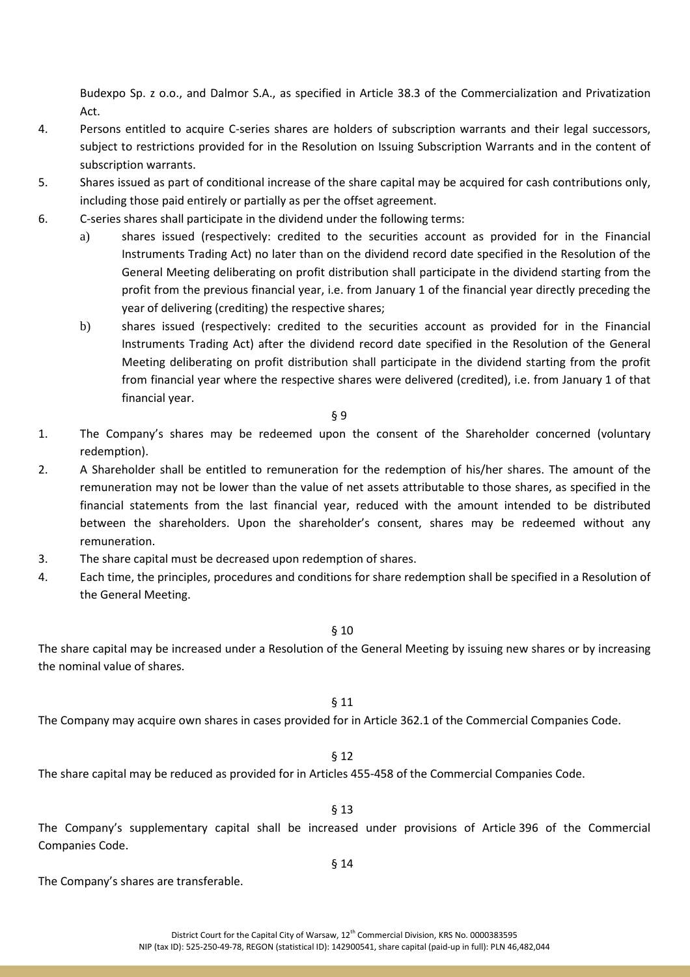Budexpo Sp. z o.o., and Dalmor S.A., as specified in Article 38.3 of the Commercialization and Privatization Act.

- 4. Persons entitled to acquire C-series shares are holders of subscription warrants and their legal successors, subject to restrictions provided for in the Resolution on Issuing Subscription Warrants and in the content of subscription warrants.
- 5. Shares issued as part of conditional increase of the share capital may be acquired for cash contributions only, including those paid entirely or partially as per the offset agreement.
- 6. C-series shares shall participate in the dividend under the following terms:
	- a) shares issued (respectively: credited to the securities account as provided for in the Financial Instruments Trading Act) no later than on the dividend record date specified in the Resolution of the General Meeting deliberating on profit distribution shall participate in the dividend starting from the profit from the previous financial year, i.e. from January 1 of the financial year directly preceding the year of delivering (crediting) the respective shares;
	- b) shares issued (respectively: credited to the securities account as provided for in the Financial Instruments Trading Act) after the dividend record date specified in the Resolution of the General Meeting deliberating on profit distribution shall participate in the dividend starting from the profit from financial year where the respective shares were delivered (credited), i.e. from January 1 of that financial year.

§ 9

- 1. The Company's shares may be redeemed upon the consent of the Shareholder concerned (voluntary redemption).
- 2. A Shareholder shall be entitled to remuneration for the redemption of his/her shares. The amount of the remuneration may not be lower than the value of net assets attributable to those shares, as specified in the financial statements from the last financial year, reduced with the amount intended to be distributed between the shareholders. Upon the shareholder's consent, shares may be redeemed without any remuneration.
- 3. The share capital must be decreased upon redemption of shares.
- 4. Each time, the principles, procedures and conditions for share redemption shall be specified in a Resolution of the General Meeting.

#### § 10

The share capital may be increased under a Resolution of the General Meeting by issuing new shares or by increasing the nominal value of shares.

# § 11

The Company may acquire own shares in cases provided for in Article 362.1 of the Commercial Companies Code.

# § 12

The share capital may be reduced as provided for in Articles 455-458 of the Commercial Companies Code.

# § 13

The Company's supplementary capital shall be increased under provisions of Article 396 of the Commercial Companies Code.

§ 14

The Company's shares are transferable.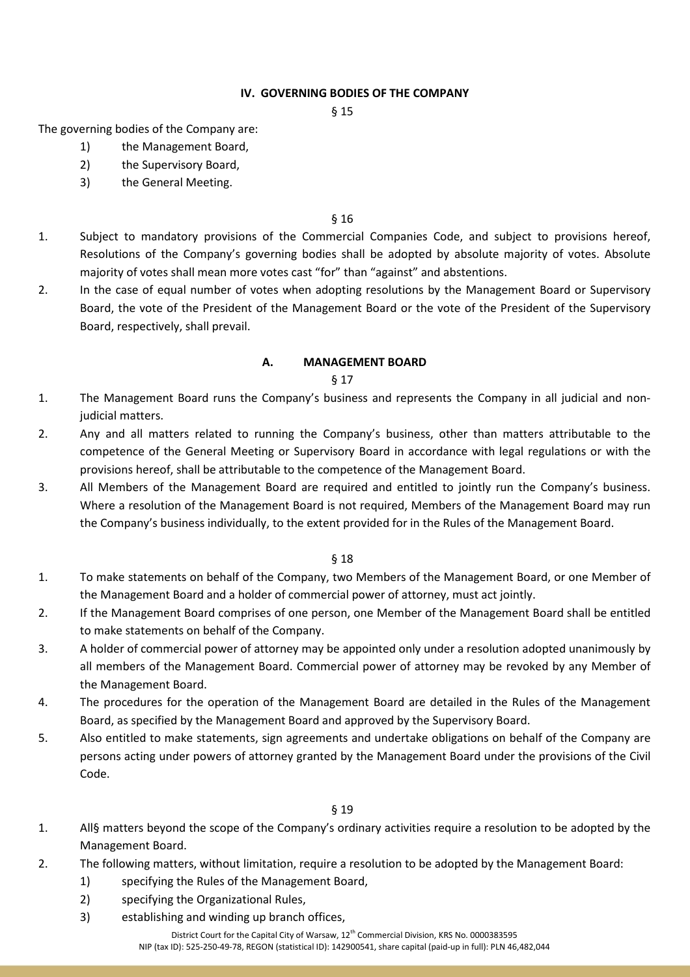### **IV. GOVERNING BODIES OF THE COMPANY**

§ 15

The governing bodies of the Company are:

- 1) the Management Board,
- 2) the Supervisory Board,
- 3) the General Meeting.

#### § 16

- 1. Subject to mandatory provisions of the Commercial Companies Code, and subject to provisions hereof, Resolutions of the Company's governing bodies shall be adopted by absolute majority of votes. Absolute majority of votes shall mean more votes cast "for" than "against" and abstentions.
- 2. In the case of equal number of votes when adopting resolutions by the Management Board or Supervisory Board, the vote of the President of the Management Board or the vote of the President of the Supervisory Board, respectively, shall prevail.

### **A. MANAGEMENT BOARD**

#### § 17

- 1. The Management Board runs the Company's business and represents the Company in all judicial and nonjudicial matters.
- 2. Any and all matters related to running the Company's business, other than matters attributable to the competence of the General Meeting or Supervisory Board in accordance with legal regulations or with the provisions hereof, shall be attributable to the competence of the Management Board.
- 3. All Members of the Management Board are required and entitled to jointly run the Company's business. Where a resolution of the Management Board is not required, Members of the Management Board may run the Company's business individually, to the extent provided for in the Rules of the Management Board.

#### § 18

- 1. To make statements on behalf of the Company, two Members of the Management Board, or one Member of the Management Board and a holder of commercial power of attorney, must act jointly.
- 2. If the Management Board comprises of one person, one Member of the Management Board shall be entitled to make statements on behalf of the Company.
- 3. A holder of commercial power of attorney may be appointed only under a resolution adopted unanimously by all members of the Management Board. Commercial power of attorney may be revoked by any Member of the Management Board.
- 4. The procedures for the operation of the Management Board are detailed in the Rules of the Management Board, as specified by the Management Board and approved by the Supervisory Board.
- 5. Also entitled to make statements, sign agreements and undertake obligations on behalf of the Company are persons acting under powers of attorney granted by the Management Board under the provisions of the Civil Code.

# § 19

- 1. All§ matters beyond the scope of the Company's ordinary activities require a resolution to be adopted by the Management Board.
- 2. The following matters, without limitation, require a resolution to be adopted by the Management Board:
	- 1) specifying the Rules of the Management Board,
	- 2) specifying the Organizational Rules,
	- 3) establishing and winding up branch offices,

District Court for the Capital City of Warsaw, 12th Commercial Division, KRS No. 0000383595 NIP (tax ID): 525-250-49-78, REGON (statistical ID): 142900541, share capital (paid-up in full): PLN 46,482,044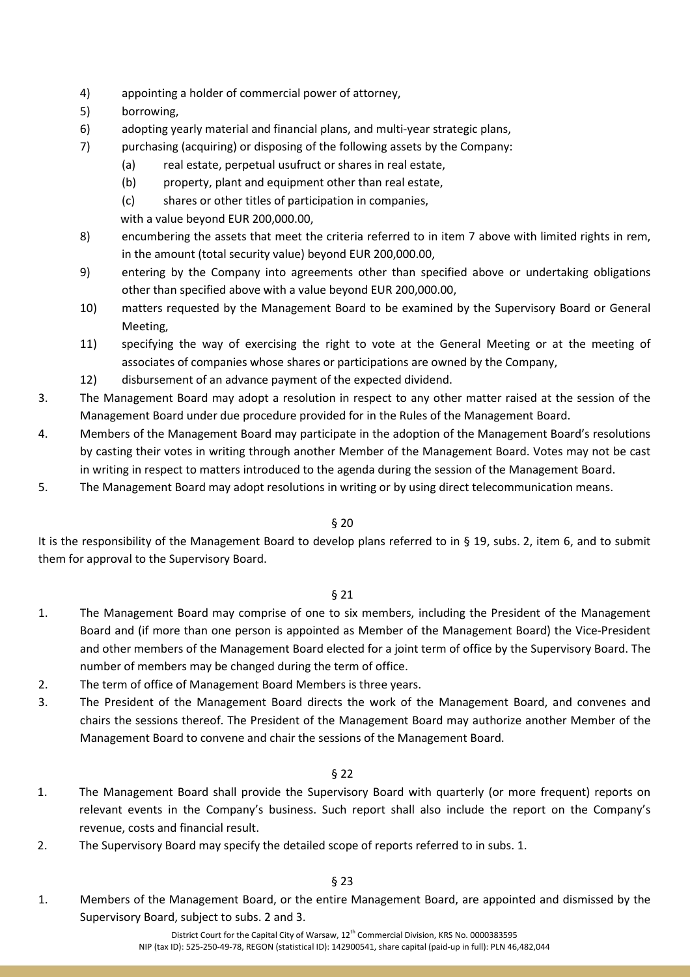- 4) appointing a holder of commercial power of attorney,
- 5) borrowing,
- 6) adopting yearly material and financial plans, and multi-year strategic plans,
- 7) purchasing (acquiring) or disposing of the following assets by the Company:
	- (a) real estate, perpetual usufruct or shares in real estate,
	- (b) property, plant and equipment other than real estate,
	- (c) shares or other titles of participation in companies,
	- with a value beyond EUR 200,000.00,
- 8) encumbering the assets that meet the criteria referred to in item 7 above with limited rights in rem, in the amount (total security value) beyond EUR 200,000.00,
- 9) entering by the Company into agreements other than specified above or undertaking obligations other than specified above with a value beyond EUR 200,000.00,
- 10) matters requested by the Management Board to be examined by the Supervisory Board or General Meeting,
- 11) specifying the way of exercising the right to vote at the General Meeting or at the meeting of associates of companies whose shares or participations are owned by the Company,
- 12) disbursement of an advance payment of the expected dividend.
- 3. The Management Board may adopt a resolution in respect to any other matter raised at the session of the Management Board under due procedure provided for in the Rules of the Management Board.
- 4. Members of the Management Board may participate in the adoption of the Management Board's resolutions by casting their votes in writing through another Member of the Management Board. Votes may not be cast in writing in respect to matters introduced to the agenda during the session of the Management Board.
- 5. The Management Board may adopt resolutions in writing or by using direct telecommunication means.

It is the responsibility of the Management Board to develop plans referred to in § 19, subs. 2, item 6, and to submit them for approval to the Supervisory Board.

### § 21

- 1. The Management Board may comprise of one to six members, including the President of the Management Board and (if more than one person is appointed as Member of the Management Board) the Vice-President and other members of the Management Board elected for a joint term of office by the Supervisory Board. The number of members may be changed during the term of office.
- 2. The term of office of Management Board Members is three years.
- 3. The President of the Management Board directs the work of the Management Board, and convenes and chairs the sessions thereof. The President of the Management Board may authorize another Member of the Management Board to convene and chair the sessions of the Management Board.

# § 22

- 1. The Management Board shall provide the Supervisory Board with quarterly (or more frequent) reports on relevant events in the Company's business. Such report shall also include the report on the Company's revenue, costs and financial result.
- 2. The Supervisory Board may specify the detailed scope of reports referred to in subs. 1.

# § 23

1. Members of the Management Board, or the entire Management Board, are appointed and dismissed by the Supervisory Board, subject to subs. 2 and 3.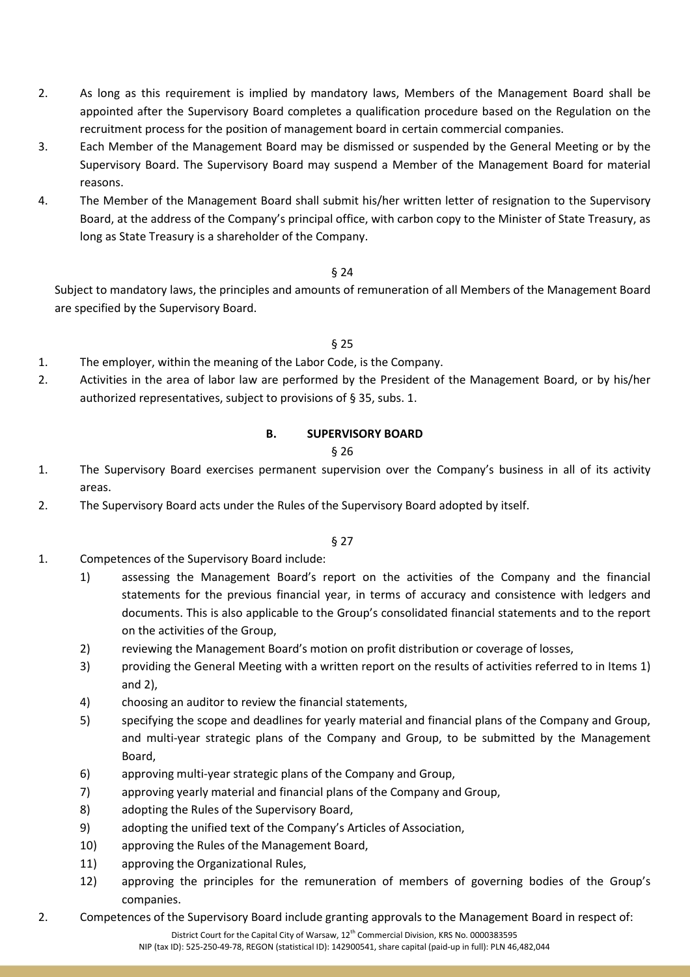- 2. As long as this requirement is implied by mandatory laws, Members of the Management Board shall be appointed after the Supervisory Board completes a qualification procedure based on the Regulation on the recruitment process for the position of management board in certain commercial companies.
- 3. Each Member of the Management Board may be dismissed or suspended by the General Meeting or by the Supervisory Board. The Supervisory Board may suspend a Member of the Management Board for material reasons.
- 4. The Member of the Management Board shall submit his/her written letter of resignation to the Supervisory Board, at the address of the Company's principal office, with carbon copy to the Minister of State Treasury, as long as State Treasury is a shareholder of the Company.

Subject to mandatory laws, the principles and amounts of remuneration of all Members of the Management Board are specified by the Supervisory Board.

§ 25

- 1. The employer, within the meaning of the Labor Code, is the Company.
- 2. Activities in the area of labor law are performed by the President of the Management Board, or by his/her authorized representatives, subject to provisions of § 35, subs. 1.

### **B. SUPERVISORY BOARD**

### § 26

- 1. The Supervisory Board exercises permanent supervision over the Company's business in all of its activity areas.
- 2. The Supervisory Board acts under the Rules of the Supervisory Board adopted by itself.

- 1. Competences of the Supervisory Board include:
	- 1) assessing the Management Board's report on the activities of the Company and the financial statements for the previous financial year, in terms of accuracy and consistence with ledgers and documents. This is also applicable to the Group's consolidated financial statements and to the report on the activities of the Group,
	- 2) reviewing the Management Board's motion on profit distribution or coverage of losses,
	- 3) providing the General Meeting with a written report on the results of activities referred to in Items 1) and 2),
	- 4) choosing an auditor to review the financial statements,
	- 5) specifying the scope and deadlines for yearly material and financial plans of the Company and Group, and multi-year strategic plans of the Company and Group, to be submitted by the Management Board,
	- 6) approving multi-year strategic plans of the Company and Group,
	- 7) approving yearly material and financial plans of the Company and Group,
	- 8) adopting the Rules of the Supervisory Board,
	- 9) adopting the unified text of the Company's Articles of Association,
	- 10) approving the Rules of the Management Board,
	- 11) approving the Organizational Rules,
	- 12) approving the principles for the remuneration of members of governing bodies of the Group's companies.
- 2. Competences of the Supervisory Board include granting approvals to the Management Board in respect of: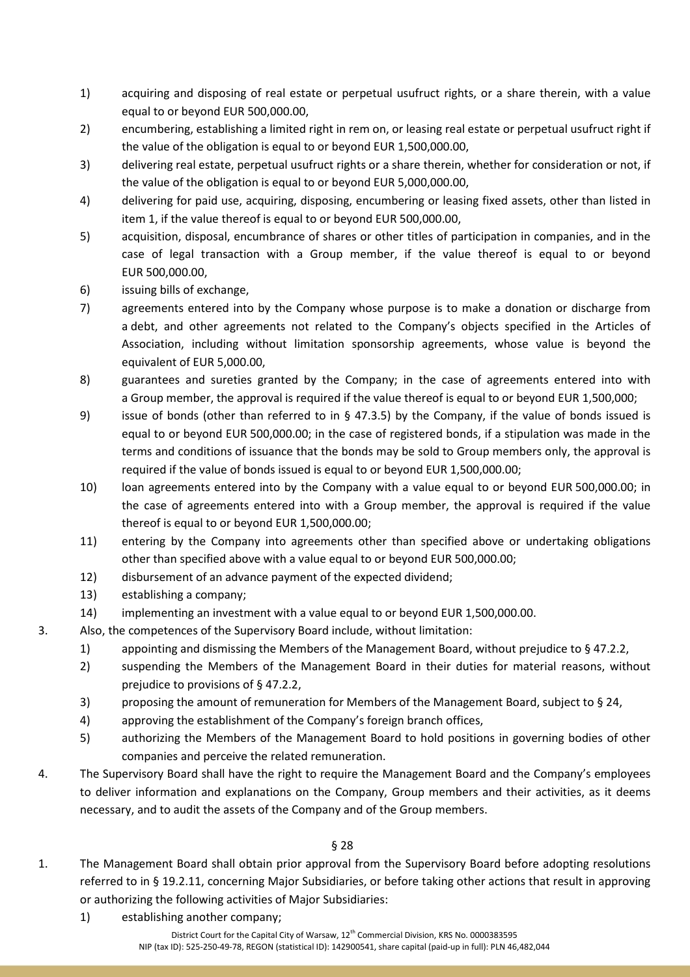- 1) acquiring and disposing of real estate or perpetual usufruct rights, or a share therein, with a value equal to or beyond EUR 500,000.00,
- 2) encumbering, establishing a limited right in rem on, or leasing real estate or perpetual usufruct right if the value of the obligation is equal to or beyond EUR 1,500,000.00,
- 3) delivering real estate, perpetual usufruct rights or a share therein, whether for consideration or not, if the value of the obligation is equal to or beyond EUR 5,000,000.00,
- 4) delivering for paid use, acquiring, disposing, encumbering or leasing fixed assets, other than listed in item 1, if the value thereof is equal to or beyond EUR 500,000.00,
- 5) acquisition, disposal, encumbrance of shares or other titles of participation in companies, and in the case of legal transaction with a Group member, if the value thereof is equal to or beyond EUR 500,000.00,
- 6) issuing bills of exchange,
- 7) agreements entered into by the Company whose purpose is to make a donation or discharge from a debt, and other agreements not related to the Company's objects specified in the Articles of Association, including without limitation sponsorship agreements, whose value is beyond the equivalent of EUR 5,000.00,
- 8) guarantees and sureties granted by the Company; in the case of agreements entered into with a Group member, the approval is required if the value thereof is equal to or beyond EUR 1,500,000;
- 9) issue of bonds (other than referred to in § 47.3.5) by the Company, if the value of bonds issued is equal to or beyond EUR 500,000.00; in the case of registered bonds, if a stipulation was made in the terms and conditions of issuance that the bonds may be sold to Group members only, the approval is required if the value of bonds issued is equal to or beyond EUR 1,500,000.00;
- 10) loan agreements entered into by the Company with a value equal to or beyond EUR 500,000.00; in the case of agreements entered into with a Group member, the approval is required if the value thereof is equal to or beyond EUR 1,500,000.00;
- 11) entering by the Company into agreements other than specified above or undertaking obligations other than specified above with a value equal to or beyond EUR 500,000.00;
- 12) disbursement of an advance payment of the expected dividend;
- 13) establishing a company;
- 14) implementing an investment with a value equal to or beyond EUR 1,500,000.00.
- 3. Also, the competences of the Supervisory Board include, without limitation:
	- 1) appointing and dismissing the Members of the Management Board, without prejudice to § 47.2.2,
	- 2) suspending the Members of the Management Board in their duties for material reasons, without prejudice to provisions of § 47.2.2,
	- 3) proposing the amount of remuneration for Members of the Management Board, subject to § 24,
	- 4) approving the establishment of the Company's foreign branch offices,
	- 5) authorizing the Members of the Management Board to hold positions in governing bodies of other companies and perceive the related remuneration.
- 4. The Supervisory Board shall have the right to require the Management Board and the Company's employees to deliver information and explanations on the Company, Group members and their activities, as it deems necessary, and to audit the assets of the Company and of the Group members.

- 1. The Management Board shall obtain prior approval from the Supervisory Board before adopting resolutions referred to in § 19.2.11, concerning Major Subsidiaries, or before taking other actions that result in approving or authorizing the following activities of Major Subsidiaries:
	- 1) establishing another company;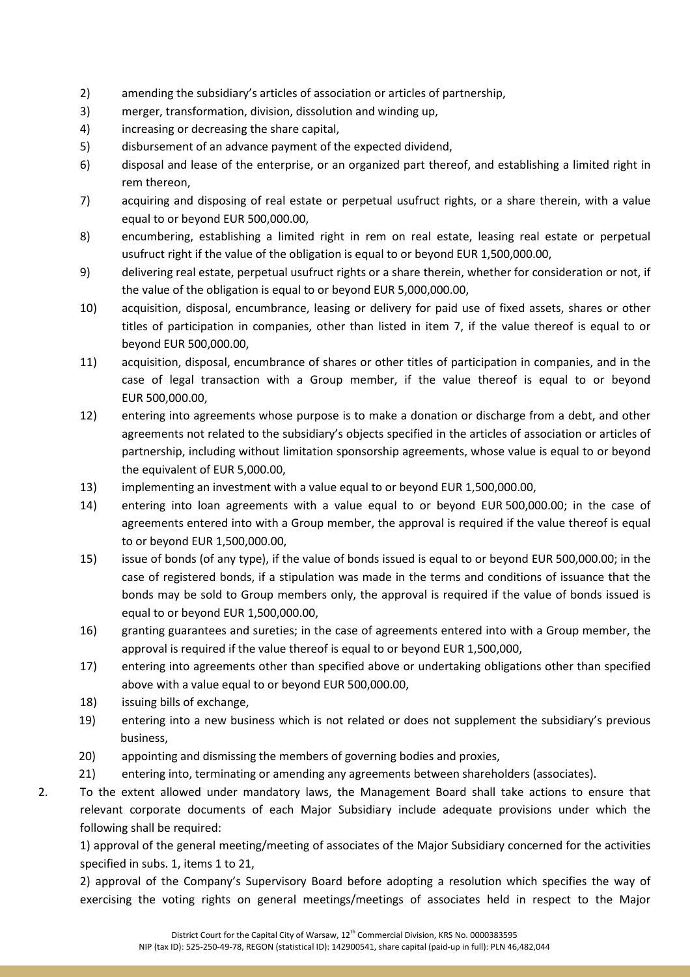- 2) amending the subsidiary's articles of association or articles of partnership,
- 3) merger, transformation, division, dissolution and winding up,
- 4) increasing or decreasing the share capital,
- 5) disbursement of an advance payment of the expected dividend,
- 6) disposal and lease of the enterprise, or an organized part thereof, and establishing a limited right in rem thereon,
- 7) acquiring and disposing of real estate or perpetual usufruct rights, or a share therein, with a value equal to or beyond EUR 500,000.00,
- 8) encumbering, establishing a limited right in rem on real estate, leasing real estate or perpetual usufruct right if the value of the obligation is equal to or beyond EUR 1,500,000.00,
- 9) delivering real estate, perpetual usufruct rights or a share therein, whether for consideration or not, if the value of the obligation is equal to or beyond EUR 5,000,000.00,
- 10) acquisition, disposal, encumbrance, leasing or delivery for paid use of fixed assets, shares or other titles of participation in companies, other than listed in item 7, if the value thereof is equal to or beyond EUR 500,000.00,
- 11) acquisition, disposal, encumbrance of shares or other titles of participation in companies, and in the case of legal transaction with a Group member, if the value thereof is equal to or beyond EUR 500,000.00,
- 12) entering into agreements whose purpose is to make a donation or discharge from a debt, and other agreements not related to the subsidiary's objects specified in the articles of association or articles of partnership, including without limitation sponsorship agreements, whose value is equal to or beyond the equivalent of EUR 5,000.00,
- 13) implementing an investment with a value equal to or beyond EUR 1,500,000.00,
- 14) entering into loan agreements with a value equal to or beyond EUR 500,000.00; in the case of agreements entered into with a Group member, the approval is required if the value thereof is equal to or beyond EUR 1,500,000.00,
- 15) issue of bonds (of any type), if the value of bonds issued is equal to or beyond EUR 500,000.00; in the case of registered bonds, if a stipulation was made in the terms and conditions of issuance that the bonds may be sold to Group members only, the approval is required if the value of bonds issued is equal to or beyond EUR 1,500,000.00,
- 16) granting guarantees and sureties; in the case of agreements entered into with a Group member, the approval is required if the value thereof is equal to or beyond EUR 1,500,000,
- 17) entering into agreements other than specified above or undertaking obligations other than specified above with a value equal to or beyond EUR 500,000.00,
- 18) issuing bills of exchange,
- 19) entering into a new business which is not related or does not supplement the subsidiary's previous business,
- 20) appointing and dismissing the members of governing bodies and proxies,
- 21) entering into, terminating or amending any agreements between shareholders (associates).
- 2. To the extent allowed under mandatory laws, the Management Board shall take actions to ensure that relevant corporate documents of each Major Subsidiary include adequate provisions under which the following shall be required:

1) approval of the general meeting/meeting of associates of the Major Subsidiary concerned for the activities specified in subs. 1, items 1 to 21,

2) approval of the Company's Supervisory Board before adopting a resolution which specifies the way of exercising the voting rights on general meetings/meetings of associates held in respect to the Major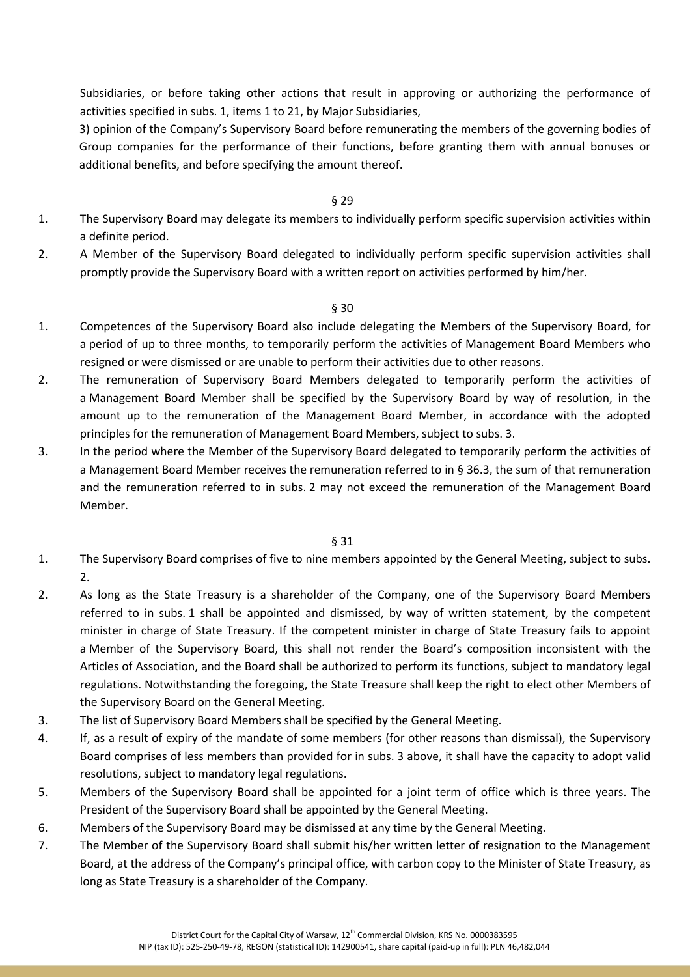Subsidiaries, or before taking other actions that result in approving or authorizing the performance of activities specified in subs. 1, items 1 to 21, by Major Subsidiaries,

3) opinion of the Company's Supervisory Board before remunerating the members of the governing bodies of Group companies for the performance of their functions, before granting them with annual bonuses or additional benefits, and before specifying the amount thereof.

#### § 29

- 1. The Supervisory Board may delegate its members to individually perform specific supervision activities within a definite period.
- 2. A Member of the Supervisory Board delegated to individually perform specific supervision activities shall promptly provide the Supervisory Board with a written report on activities performed by him/her.

#### § 30

- 1. Competences of the Supervisory Board also include delegating the Members of the Supervisory Board, for a period of up to three months, to temporarily perform the activities of Management Board Members who resigned or were dismissed or are unable to perform their activities due to other reasons.
- 2. The remuneration of Supervisory Board Members delegated to temporarily perform the activities of a Management Board Member shall be specified by the Supervisory Board by way of resolution, in the amount up to the remuneration of the Management Board Member, in accordance with the adopted principles for the remuneration of Management Board Members, subject to subs. 3.
- 3. In the period where the Member of the Supervisory Board delegated to temporarily perform the activities of a Management Board Member receives the remuneration referred to in § 36.3, the sum of that remuneration and the remuneration referred to in subs. 2 may not exceed the remuneration of the Management Board Member.

- 1. The Supervisory Board comprises of five to nine members appointed by the General Meeting, subject to subs. 2.
- 2. As long as the State Treasury is a shareholder of the Company, one of the Supervisory Board Members referred to in subs. 1 shall be appointed and dismissed, by way of written statement, by the competent minister in charge of State Treasury. If the competent minister in charge of State Treasury fails to appoint a Member of the Supervisory Board, this shall not render the Board's composition inconsistent with the Articles of Association, and the Board shall be authorized to perform its functions, subject to mandatory legal regulations. Notwithstanding the foregoing, the State Treasure shall keep the right to elect other Members of the Supervisory Board on the General Meeting.
- 3. The list of Supervisory Board Members shall be specified by the General Meeting.
- 4. If, as a result of expiry of the mandate of some members (for other reasons than dismissal), the Supervisory Board comprises of less members than provided for in subs. 3 above, it shall have the capacity to adopt valid resolutions, subject to mandatory legal regulations.
- 5. Members of the Supervisory Board shall be appointed for a joint term of office which is three years. The President of the Supervisory Board shall be appointed by the General Meeting.
- 6. Members of the Supervisory Board may be dismissed at any time by the General Meeting.
- 7. The Member of the Supervisory Board shall submit his/her written letter of resignation to the Management Board, at the address of the Company's principal office, with carbon copy to the Minister of State Treasury, as long as State Treasury is a shareholder of the Company.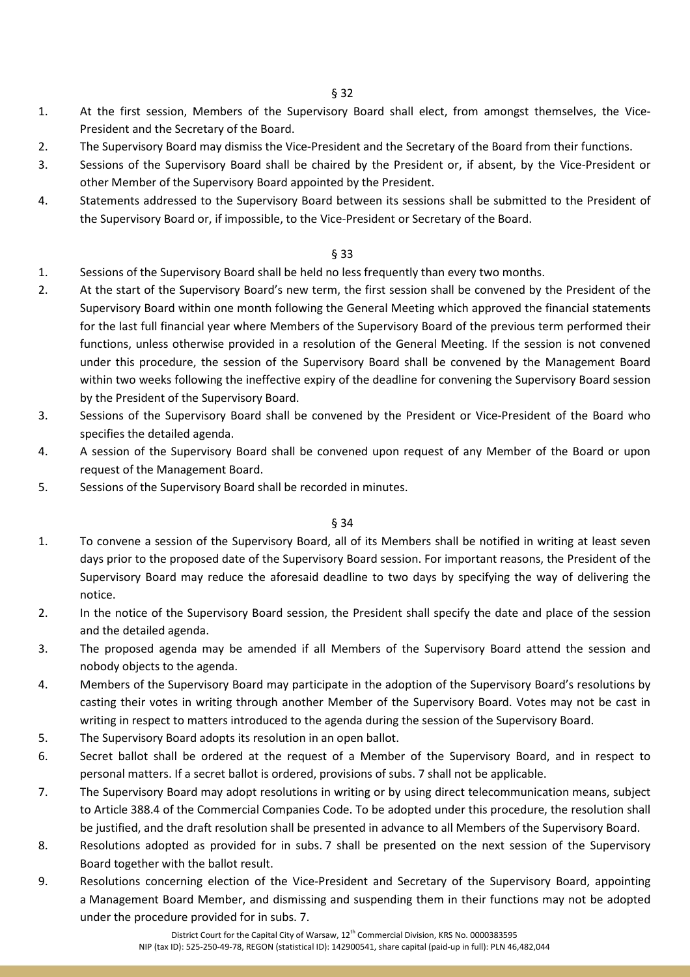- 1. At the first session, Members of the Supervisory Board shall elect, from amongst themselves, the Vice-President and the Secretary of the Board.
- 2. The Supervisory Board may dismiss the Vice-President and the Secretary of the Board from their functions.
- 3. Sessions of the Supervisory Board shall be chaired by the President or, if absent, by the Vice-President or other Member of the Supervisory Board appointed by the President.
- 4. Statements addressed to the Supervisory Board between its sessions shall be submitted to the President of the Supervisory Board or, if impossible, to the Vice-President or Secretary of the Board.

- 1. Sessions of the Supervisory Board shall be held no less frequently than every two months.
- 2. At the start of the Supervisory Board's new term, the first session shall be convened by the President of the Supervisory Board within one month following the General Meeting which approved the financial statements for the last full financial year where Members of the Supervisory Board of the previous term performed their functions, unless otherwise provided in a resolution of the General Meeting. If the session is not convened under this procedure, the session of the Supervisory Board shall be convened by the Management Board within two weeks following the ineffective expiry of the deadline for convening the Supervisory Board session by the President of the Supervisory Board.
- 3. Sessions of the Supervisory Board shall be convened by the President or Vice-President of the Board who specifies the detailed agenda.
- 4. A session of the Supervisory Board shall be convened upon request of any Member of the Board or upon request of the Management Board.
- 5. Sessions of the Supervisory Board shall be recorded in minutes.

- 1. To convene a session of the Supervisory Board, all of its Members shall be notified in writing at least seven days prior to the proposed date of the Supervisory Board session. For important reasons, the President of the Supervisory Board may reduce the aforesaid deadline to two days by specifying the way of delivering the notice.
- 2. In the notice of the Supervisory Board session, the President shall specify the date and place of the session and the detailed agenda.
- 3. The proposed agenda may be amended if all Members of the Supervisory Board attend the session and nobody objects to the agenda.
- 4. Members of the Supervisory Board may participate in the adoption of the Supervisory Board's resolutions by casting their votes in writing through another Member of the Supervisory Board. Votes may not be cast in writing in respect to matters introduced to the agenda during the session of the Supervisory Board.
- 5. The Supervisory Board adopts its resolution in an open ballot.
- 6. Secret ballot shall be ordered at the request of a Member of the Supervisory Board, and in respect to personal matters. If a secret ballot is ordered, provisions of subs. 7 shall not be applicable.
- 7. The Supervisory Board may adopt resolutions in writing or by using direct telecommunication means, subject to Article 388.4 of the Commercial Companies Code. To be adopted under this procedure, the resolution shall be justified, and the draft resolution shall be presented in advance to all Members of the Supervisory Board.
- 8. Resolutions adopted as provided for in subs. 7 shall be presented on the next session of the Supervisory Board together with the ballot result.
- 9. Resolutions concerning election of the Vice-President and Secretary of the Supervisory Board, appointing a Management Board Member, and dismissing and suspending them in their functions may not be adopted under the procedure provided for in subs. 7.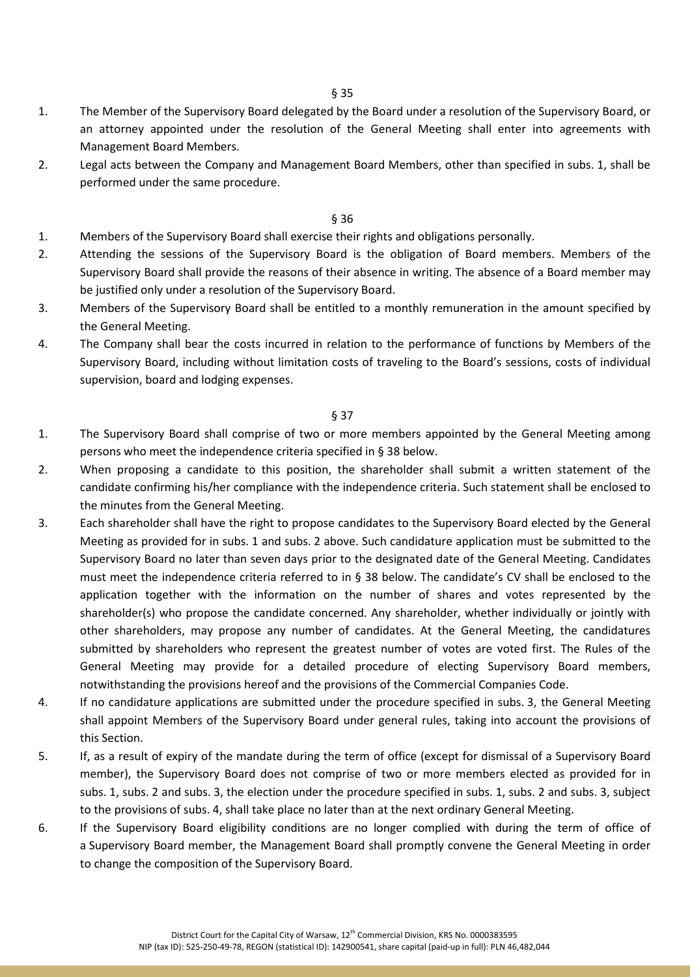- 1. The Member of the Supervisory Board delegated by the Board under a resolution of the Supervisory Board, or an attorney appointed under the resolution of the General Meeting shall enter into agreements with Management Board Members.
- 2. Legal acts between the Company and Management Board Members, other than specified in subs. 1, shall be performed under the same procedure.

- 1. Members of the Supervisory Board shall exercise their rights and obligations personally.
- 2. Attending the sessions of the Supervisory Board is the obligation of Board members. Members of the Supervisory Board shall provide the reasons of their absence in writing. The absence of a Board member may be justified only under a resolution of the Supervisory Board.
- 3. Members of the Supervisory Board shall be entitled to a monthly remuneration in the amount specified by the General Meeting.
- 4. The Company shall bear the costs incurred in relation to the performance of functions by Members of the Supervisory Board, including without limitation costs of traveling to the Board's sessions, costs of individual supervision, board and lodging expenses.

- 1. The Supervisory Board shall comprise of two or more members appointed by the General Meeting among persons who meet the independence criteria specified in § 38 below.
- 2. When proposing a candidate to this position, the shareholder shall submit a written statement of the candidate confirming his/her compliance with the independence criteria. Such statement shall be enclosed to the minutes from the General Meeting.
- 3. Each shareholder shall have the right to propose candidates to the Supervisory Board elected by the General Meeting as provided for in subs. 1 and subs. 2 above. Such candidature application must be submitted to the Supervisory Board no later than seven days prior to the designated date of the General Meeting. Candidates must meet the independence criteria referred to in § 38 below. The candidate's CV shall be enclosed to the application together with the information on the number of shares and votes represented by the shareholder(s) who propose the candidate concerned. Any shareholder, whether individually or jointly with other shareholders, may propose any number of candidates. At the General Meeting, the candidatures submitted by shareholders who represent the greatest number of votes are voted first. The Rules of the General Meeting may provide for a detailed procedure of electing Supervisory Board members, notwithstanding the provisions hereof and the provisions of the Commercial Companies Code.
- 4. If no candidature applications are submitted under the procedure specified in subs. 3, the General Meeting shall appoint Members of the Supervisory Board under general rules, taking into account the provisions of this Section.
- 5. If, as a result of expiry of the mandate during the term of office (except for dismissal of a Supervisory Board member), the Supervisory Board does not comprise of two or more members elected as provided for in subs. 1, subs. 2 and subs. 3, the election under the procedure specified in subs. 1, subs. 2 and subs. 3, subject to the provisions of subs. 4, shall take place no later than at the next ordinary General Meeting.
- 6. If the Supervisory Board eligibility conditions are no longer complied with during the term of office of a Supervisory Board member, the Management Board shall promptly convene the General Meeting in order to change the composition of the Supervisory Board.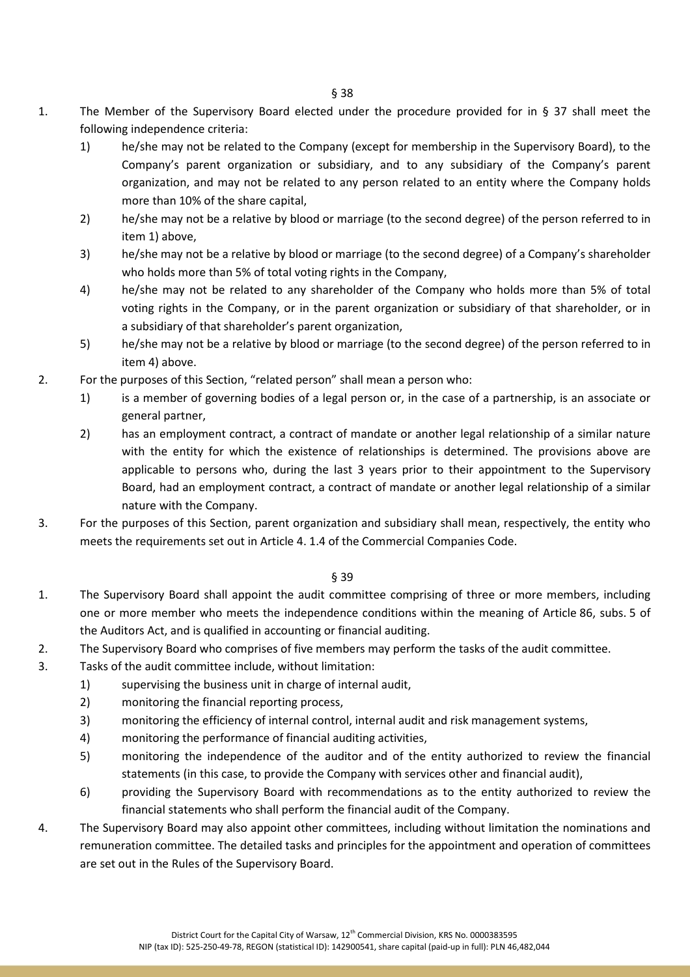- 1. The Member of the Supervisory Board elected under the procedure provided for in § 37 shall meet the following independence criteria:
	- 1) he/she may not be related to the Company (except for membership in the Supervisory Board), to the Company's parent organization or subsidiary, and to any subsidiary of the Company's parent organization, and may not be related to any person related to an entity where the Company holds more than 10% of the share capital,
	- 2) he/she may not be a relative by blood or marriage (to the second degree) of the person referred to in item 1) above,
	- 3) he/she may not be a relative by blood or marriage (to the second degree) of a Company's shareholder who holds more than 5% of total voting rights in the Company,
	- 4) he/she may not be related to any shareholder of the Company who holds more than 5% of total voting rights in the Company, or in the parent organization or subsidiary of that shareholder, or in a subsidiary of that shareholder's parent organization,
	- 5) he/she may not be a relative by blood or marriage (to the second degree) of the person referred to in item 4) above.
- 2. For the purposes of this Section, "related person" shall mean a person who:
	- 1) is a member of governing bodies of a legal person or, in the case of a partnership, is an associate or general partner,
	- 2) has an employment contract, a contract of mandate or another legal relationship of a similar nature with the entity for which the existence of relationships is determined. The provisions above are applicable to persons who, during the last 3 years prior to their appointment to the Supervisory Board, had an employment contract, a contract of mandate or another legal relationship of a similar nature with the Company.
- 3. For the purposes of this Section, parent organization and subsidiary shall mean, respectively, the entity who meets the requirements set out in Article 4. 1.4 of the Commercial Companies Code.

- 1. The Supervisory Board shall appoint the audit committee comprising of three or more members, including one or more member who meets the independence conditions within the meaning of Article 86, subs. 5 of the Auditors Act, and is qualified in accounting or financial auditing.
- 2. The Supervisory Board who comprises of five members may perform the tasks of the audit committee.
- 3. Tasks of the audit committee include, without limitation:
	- 1) supervising the business unit in charge of internal audit,
		- 2) monitoring the financial reporting process,
		- 3) monitoring the efficiency of internal control, internal audit and risk management systems,
		- 4) monitoring the performance of financial auditing activities,
		- 5) monitoring the independence of the auditor and of the entity authorized to review the financial statements (in this case, to provide the Company with services other and financial audit),
		- 6) providing the Supervisory Board with recommendations as to the entity authorized to review the financial statements who shall perform the financial audit of the Company.
- 4. The Supervisory Board may also appoint other committees, including without limitation the nominations and remuneration committee. The detailed tasks and principles for the appointment and operation of committees are set out in the Rules of the Supervisory Board.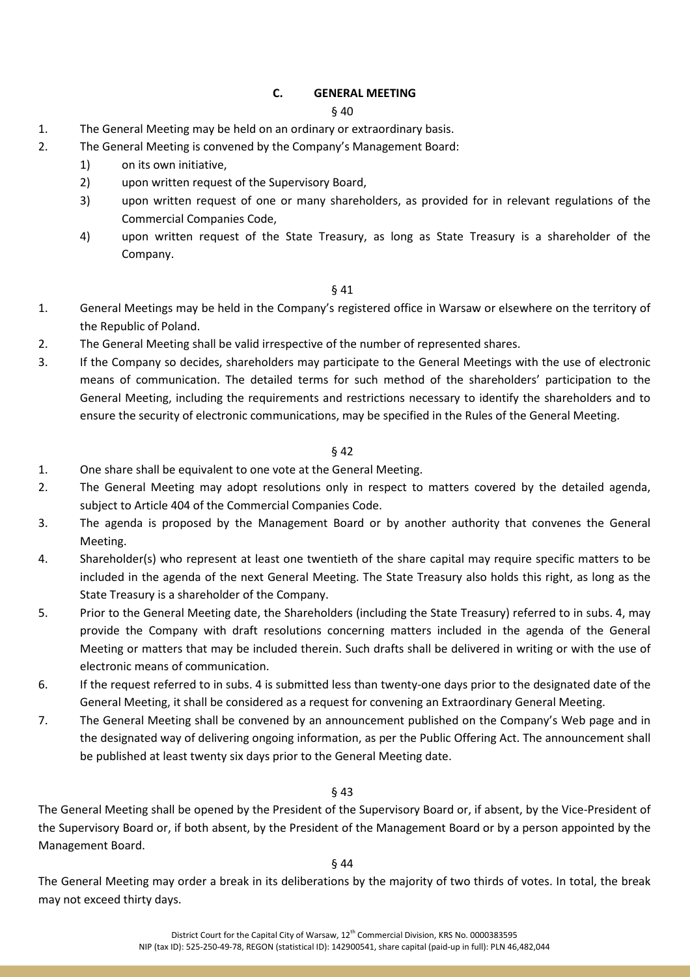# **C. GENERAL MEETING**

### § 40

- 1. The General Meeting may be held on an ordinary or extraordinary basis.
- 2. The General Meeting is convened by the Company's Management Board:
	- 1) on its own initiative,
	- 2) upon written request of the Supervisory Board,
	- 3) upon written request of one or many shareholders, as provided for in relevant regulations of the Commercial Companies Code,
	- 4) upon written request of the State Treasury, as long as State Treasury is a shareholder of the Company.

### § 41

- 1. General Meetings may be held in the Company's registered office in Warsaw or elsewhere on the territory of the Republic of Poland.
- 2. The General Meeting shall be valid irrespective of the number of represented shares.
- 3. If the Company so decides, shareholders may participate to the General Meetings with the use of electronic means of communication. The detailed terms for such method of the shareholders' participation to the General Meeting, including the requirements and restrictions necessary to identify the shareholders and to ensure the security of electronic communications, may be specified in the Rules of the General Meeting.

# § 42

- 1. One share shall be equivalent to one vote at the General Meeting.
- 2. The General Meeting may adopt resolutions only in respect to matters covered by the detailed agenda, subject to Article 404 of the Commercial Companies Code.
- 3. The agenda is proposed by the Management Board or by another authority that convenes the General Meeting.
- 4. Shareholder(s) who represent at least one twentieth of the share capital may require specific matters to be included in the agenda of the next General Meeting. The State Treasury also holds this right, as long as the State Treasury is a shareholder of the Company.
- 5. Prior to the General Meeting date, the Shareholders (including the State Treasury) referred to in subs. 4, may provide the Company with draft resolutions concerning matters included in the agenda of the General Meeting or matters that may be included therein. Such drafts shall be delivered in writing or with the use of electronic means of communication.
- 6. If the request referred to in subs. 4 is submitted less than twenty-one days prior to the designated date of the General Meeting, it shall be considered as a request for convening an Extraordinary General Meeting.
- 7. The General Meeting shall be convened by an announcement published on the Company's Web page and in the designated way of delivering ongoing information, as per the Public Offering Act. The announcement shall be published at least twenty six days prior to the General Meeting date.

# § 43

The General Meeting shall be opened by the President of the Supervisory Board or, if absent, by the Vice-President of the Supervisory Board or, if both absent, by the President of the Management Board or by a person appointed by the Management Board.

#### § 44

The General Meeting may order a break in its deliberations by the majority of two thirds of votes. In total, the break may not exceed thirty days.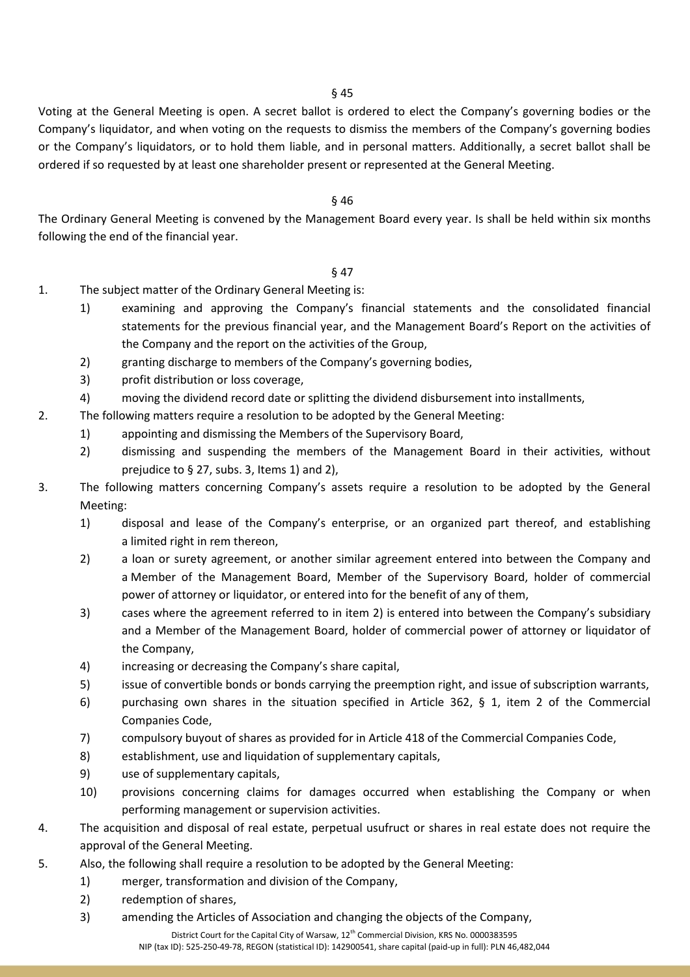Voting at the General Meeting is open. A secret ballot is ordered to elect the Company's governing bodies or the Company's liquidator, and when voting on the requests to dismiss the members of the Company's governing bodies or the Company's liquidators, or to hold them liable, and in personal matters. Additionally, a secret ballot shall be ordered if so requested by at least one shareholder present or represented at the General Meeting.

### § 46

The Ordinary General Meeting is convened by the Management Board every year. Is shall be held within six months following the end of the financial year.

- 1. The subject matter of the Ordinary General Meeting is:
	- 1) examining and approving the Company's financial statements and the consolidated financial statements for the previous financial year, and the Management Board's Report on the activities of the Company and the report on the activities of the Group,
	- 2) granting discharge to members of the Company's governing bodies,
	- 3) profit distribution or loss coverage,
	- 4) moving the dividend record date or splitting the dividend disbursement into installments,
- 2. The following matters require a resolution to be adopted by the General Meeting:
	- 1) appointing and dismissing the Members of the Supervisory Board,
	- 2) dismissing and suspending the members of the Management Board in their activities, without prejudice to § 27, subs. 3, Items 1) and 2),
- 3. The following matters concerning Company's assets require a resolution to be adopted by the General Meeting:
	- 1) disposal and lease of the Company's enterprise, or an organized part thereof, and establishing a limited right in rem thereon,
	- 2) a loan or surety agreement, or another similar agreement entered into between the Company and a Member of the Management Board, Member of the Supervisory Board, holder of commercial power of attorney or liquidator, or entered into for the benefit of any of them,
	- 3) cases where the agreement referred to in item 2) is entered into between the Company's subsidiary and a Member of the Management Board, holder of commercial power of attorney or liquidator of the Company,
	- 4) increasing or decreasing the Company's share capital,
	- 5) issue of convertible bonds or bonds carrying the preemption right, and issue of subscription warrants,
	- 6) purchasing own shares in the situation specified in Article 362, § 1, item 2 of the Commercial Companies Code,
	- 7) compulsory buyout of shares as provided for in Article 418 of the Commercial Companies Code,
	- 8) establishment, use and liquidation of supplementary capitals,
	- 9) use of supplementary capitals,
	- 10) provisions concerning claims for damages occurred when establishing the Company or when performing management or supervision activities.
- 4. The acquisition and disposal of real estate, perpetual usufruct or shares in real estate does not require the approval of the General Meeting.
- 5. Also, the following shall require a resolution to be adopted by the General Meeting:
	- 1) merger, transformation and division of the Company,
	- 2) redemption of shares,
	- 3) amending the Articles of Association and changing the objects of the Company,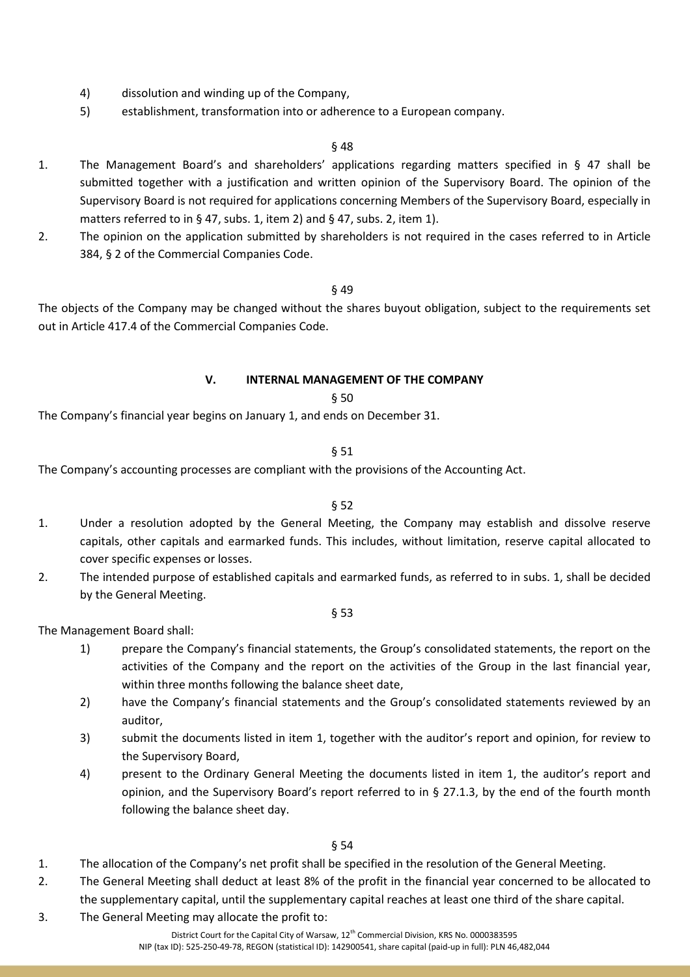- 4) dissolution and winding up of the Company,
- 5) establishment, transformation into or adherence to a European company.

- 1. The Management Board's and shareholders' applications regarding matters specified in § 47 shall be submitted together with a justification and written opinion of the Supervisory Board. The opinion of the Supervisory Board is not required for applications concerning Members of the Supervisory Board, especially in matters referred to in § 47, subs. 1, item 2) and § 47, subs. 2, item 1).
- 2. The opinion on the application submitted by shareholders is not required in the cases referred to in Article 384, § 2 of the Commercial Companies Code.

#### § 49

The objects of the Company may be changed without the shares buyout obligation, subject to the requirements set out in Article 417.4 of the Commercial Companies Code.

# **V. INTERNAL MANAGEMENT OF THE COMPANY**

#### § 50

The Company's financial year begins on January 1, and ends on December 31.

#### § 51

The Company's accounting processes are compliant with the provisions of the Accounting Act.

#### § 52

- 1. Under a resolution adopted by the General Meeting, the Company may establish and dissolve reserve capitals, other capitals and earmarked funds. This includes, without limitation, reserve capital allocated to cover specific expenses or losses.
- 2. The intended purpose of established capitals and earmarked funds, as referred to in subs. 1, shall be decided by the General Meeting.

#### § 53

The Management Board shall:

- 1) prepare the Company's financial statements, the Group's consolidated statements, the report on the activities of the Company and the report on the activities of the Group in the last financial year, within three months following the balance sheet date,
- 2) have the Company's financial statements and the Group's consolidated statements reviewed by an auditor,
- 3) submit the documents listed in item 1, together with the auditor's report and opinion, for review to the Supervisory Board,
- 4) present to the Ordinary General Meeting the documents listed in item 1, the auditor's report and opinion, and the Supervisory Board's report referred to in § 27.1.3, by the end of the fourth month following the balance sheet day.

- 1. The allocation of the Company's net profit shall be specified in the resolution of the General Meeting.
- 2. The General Meeting shall deduct at least 8% of the profit in the financial year concerned to be allocated to the supplementary capital, until the supplementary capital reaches at least one third of the share capital.
- 3. The General Meeting may allocate the profit to: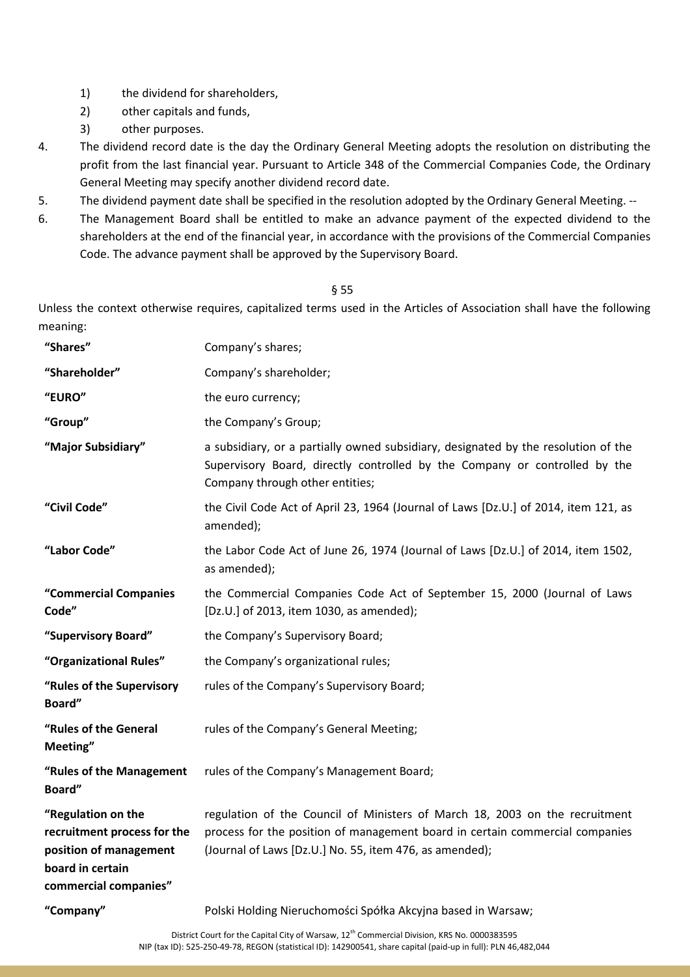- 1) the dividend for shareholders,
- 2) other capitals and funds,
- 3) other purposes.
- 4. The dividend record date is the day the Ordinary General Meeting adopts the resolution on distributing the profit from the last financial year. Pursuant to Article 348 of the Commercial Companies Code, the Ordinary General Meeting may specify another dividend record date.
- 5. The dividend payment date shall be specified in the resolution adopted by the Ordinary General Meeting. --
- 6. The Management Board shall be entitled to make an advance payment of the expected dividend to the shareholders at the end of the financial year, in accordance with the provisions of the Commercial Companies Code. The advance payment shall be approved by the Supervisory Board.

Unless the context otherwise requires, capitalized terms used in the Articles of Association shall have the following meaning:

| "Shares"                                                                                                                 | Company's shares;                                                                                                                                                                                                      |
|--------------------------------------------------------------------------------------------------------------------------|------------------------------------------------------------------------------------------------------------------------------------------------------------------------------------------------------------------------|
| "Shareholder"                                                                                                            | Company's shareholder;                                                                                                                                                                                                 |
| "EURO"                                                                                                                   | the euro currency;                                                                                                                                                                                                     |
| "Group"                                                                                                                  | the Company's Group;                                                                                                                                                                                                   |
| "Major Subsidiary"                                                                                                       | a subsidiary, or a partially owned subsidiary, designated by the resolution of the<br>Supervisory Board, directly controlled by the Company or controlled by the<br>Company through other entities;                    |
| "Civil Code"                                                                                                             | the Civil Code Act of April 23, 1964 (Journal of Laws [Dz.U.] of 2014, item 121, as<br>amended);                                                                                                                       |
| "Labor Code"                                                                                                             | the Labor Code Act of June 26, 1974 (Journal of Laws [Dz.U.] of 2014, item 1502,<br>as amended);                                                                                                                       |
| "Commercial Companies<br>Code"                                                                                           | the Commercial Companies Code Act of September 15, 2000 (Journal of Laws<br>[Dz.U.] of 2013, item 1030, as amended);                                                                                                   |
| "Supervisory Board"                                                                                                      | the Company's Supervisory Board;                                                                                                                                                                                       |
| "Organizational Rules"                                                                                                   | the Company's organizational rules;                                                                                                                                                                                    |
| "Rules of the Supervisory<br>Board"                                                                                      | rules of the Company's Supervisory Board;                                                                                                                                                                              |
| "Rules of the General<br>Meeting"                                                                                        | rules of the Company's General Meeting;                                                                                                                                                                                |
| "Rules of the Management<br>Board"                                                                                       | rules of the Company's Management Board;                                                                                                                                                                               |
| "Regulation on the<br>recruitment process for the<br>position of management<br>board in certain<br>commercial companies" | regulation of the Council of Ministers of March 18, 2003 on the recruitment<br>process for the position of management board in certain commercial companies<br>(Journal of Laws [Dz.U.] No. 55, item 476, as amended); |
| "Company"                                                                                                                | Polski Holding Nieruchomości Spółka Akcyjna based in Warsaw;                                                                                                                                                           |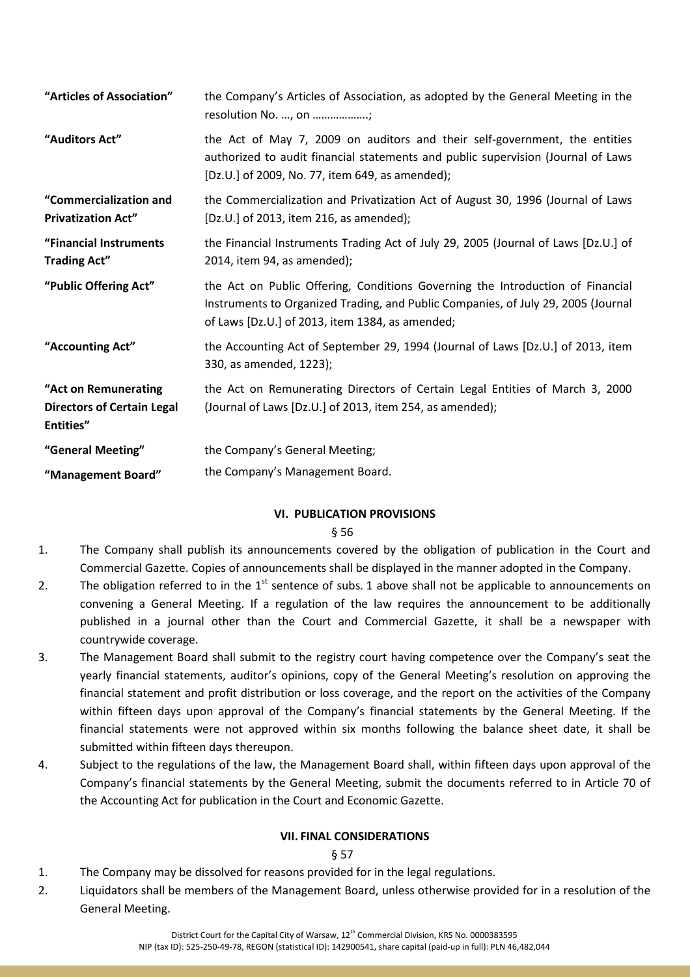| "Articles of Association"                                              | the Company's Articles of Association, as adopted by the General Meeting in the<br>resolution No. , on ;                                                                                                               |
|------------------------------------------------------------------------|------------------------------------------------------------------------------------------------------------------------------------------------------------------------------------------------------------------------|
| "Auditors Act"                                                         | the Act of May 7, 2009 on auditors and their self-government, the entities<br>authorized to audit financial statements and public supervision (Journal of Laws<br>[Dz.U.] of 2009, No. 77, item 649, as amended);      |
| "Commercialization and<br><b>Privatization Act"</b>                    | the Commercialization and Privatization Act of August 30, 1996 (Journal of Laws<br>[Dz.U.] of 2013, item 216, as amended);                                                                                             |
| "Financial Instruments<br><b>Trading Act"</b>                          | the Financial Instruments Trading Act of July 29, 2005 (Journal of Laws [Dz.U.] of<br>2014, item 94, as amended);                                                                                                      |
| "Public Offering Act"                                                  | the Act on Public Offering, Conditions Governing the Introduction of Financial<br>Instruments to Organized Trading, and Public Companies, of July 29, 2005 (Journal<br>of Laws [Dz.U.] of 2013, item 1384, as amended; |
| "Accounting Act"                                                       | the Accounting Act of September 29, 1994 (Journal of Laws [Dz.U.] of 2013, item<br>330, as amended, 1223);                                                                                                             |
| "Act on Remunerating<br><b>Directors of Certain Legal</b><br>Entities" | the Act on Remunerating Directors of Certain Legal Entities of March 3, 2000<br>(Journal of Laws [Dz.U.] of 2013, item 254, as amended);                                                                               |
| "General Meeting"                                                      | the Company's General Meeting;                                                                                                                                                                                         |
| "Management Board"                                                     | the Company's Management Board.                                                                                                                                                                                        |

# **VI. PUBLICATION PROVISIONS**

#### § 56

- 1. The Company shall publish its announcements covered by the obligation of publication in the Court and Commercial Gazette. Copies of announcements shall be displayed in the manner adopted in the Company.
- 2. The obligation referred to in the  $1<sup>st</sup>$  sentence of subs. 1 above shall not be applicable to announcements on convening a General Meeting. If a regulation of the law requires the announcement to be additionally published in a journal other than the Court and Commercial Gazette, it shall be a newspaper with countrywide coverage.
- 3. The Management Board shall submit to the registry court having competence over the Company's seat the yearly financial statements, auditor's opinions, copy of the General Meeting's resolution on approving the financial statement and profit distribution or loss coverage, and the report on the activities of the Company within fifteen days upon approval of the Company's financial statements by the General Meeting. If the financial statements were not approved within six months following the balance sheet date, it shall be submitted within fifteen days thereupon.
- 4. Subject to the regulations of the law, the Management Board shall, within fifteen days upon approval of the Company's financial statements by the General Meeting, submit the documents referred to in Article 70 of the Accounting Act for publication in the Court and Economic Gazette.

# **VII. FINAL CONSIDERATIONS**

- 1. The Company may be dissolved for reasons provided for in the legal regulations.
- 2. Liquidators shall be members of the Management Board, unless otherwise provided for in a resolution of the General Meeting.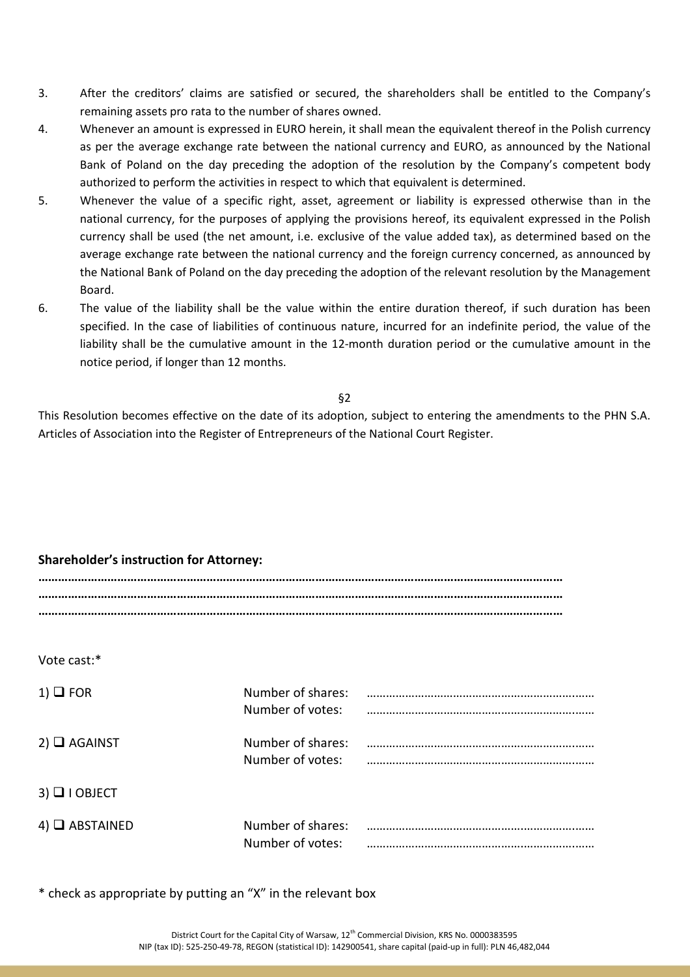- 3. After the creditors' claims are satisfied or secured, the shareholders shall be entitled to the Company's remaining assets pro rata to the number of shares owned.
- 4. Whenever an amount is expressed in EURO herein, it shall mean the equivalent thereof in the Polish currency as per the average exchange rate between the national currency and EURO, as announced by the National Bank of Poland on the day preceding the adoption of the resolution by the Company's competent body authorized to perform the activities in respect to which that equivalent is determined.
- 5. Whenever the value of a specific right, asset, agreement or liability is expressed otherwise than in the national currency, for the purposes of applying the provisions hereof, its equivalent expressed in the Polish currency shall be used (the net amount, i.e. exclusive of the value added tax), as determined based on the average exchange rate between the national currency and the foreign currency concerned, as announced by the National Bank of Poland on the day preceding the adoption of the relevant resolution by the Management Board.
- 6. The value of the liability shall be the value within the entire duration thereof, if such duration has been specified. In the case of liabilities of continuous nature, incurred for an indefinite period, the value of the liability shall be the cumulative amount in the 12-month duration period or the cumulative amount in the notice period, if longer than 12 months.

This Resolution becomes effective on the date of its adoption, subject to entering the amendments to the PHN S.A. Articles of Association into the Register of Entrepreneurs of the National Court Register.

# **Shareholder's instruction for Attorney:**

| Vote cast:*           |                                       |  |
|-----------------------|---------------------------------------|--|
| $1)$ $\Box$ FOR       | Number of shares:<br>Number of votes: |  |
| $2)$ $\Box$ AGAINST   | Number of shares:<br>Number of votes: |  |
| $3)$ $\Box$ I OBJECT  |                                       |  |
| $4)$ $\Box$ ABSTAINED | Number of shares:<br>Number of votes: |  |

\* check as appropriate by putting an "X" in the relevant box